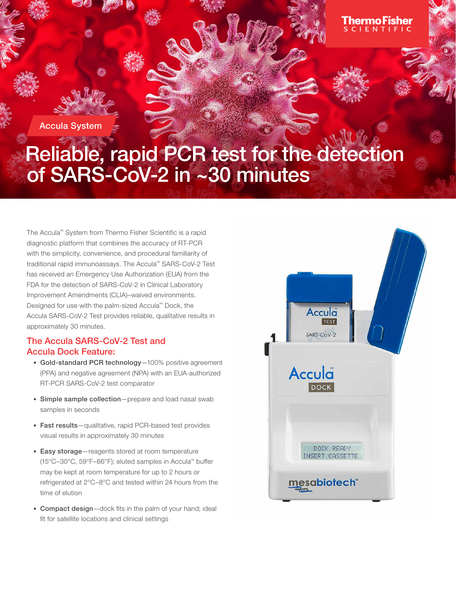

# The Accula™ System from Thermo Fisher Scientific is a rapid

diagnostic platform that combines the accuracy of RT-PCR with the simplicity, convenience, and procedural familiarity of traditional rapid immunoassays. The Accula™ SARS-CoV-2 Test has received an Emergency Use Authorization (EUA) from the FDA for the detection of SARS-CoV-2 in Clinical Laboratory Improvement Amendments (CLIA)–waived environments. Designed for use with the palm-sized Accula™ Dock, the Accula SARS-CoV-2 Test provides reliable, qualitative results in approximately 30 minutes.

# The Accula SARS-CoV-2 Test and Accula Dock Feature:

- Gold-standard PCR technology—100% positive agreement (PPA) and negative agreement (NPA) with an EUA-authorized RT-PCR SARS-CoV-2 test comparator
- Simple sample collection—prepare and load nasal swab samples in seconds
- Fast results—qualitative, rapid PCR-based test provides visual results in approximately 30 minutes
- Easy storage—reagents stored at room temperature (15°C–30°C, 59°F–86°F); eluted samples in Accula™ buffer may be kept at room temperature for up to 2 hours or refrigerated at 2°C–8°C and tested within 24 hours from the time of elution
- Compact design-dock fits in the palm of your hand; ideal fit for satellite locations and clinical settings